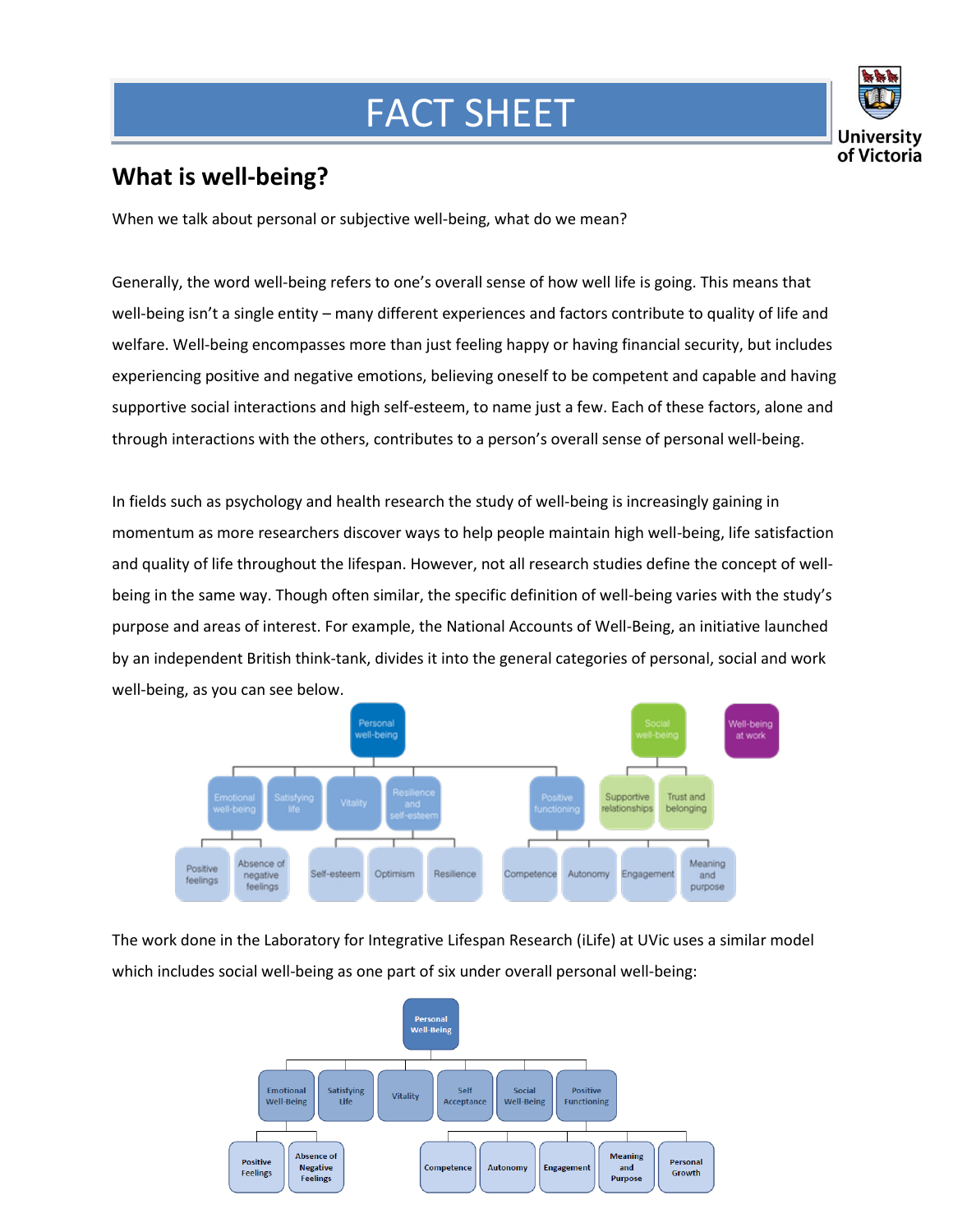## FACT SHEET



## **What is well-being?**

When we talk about personal or subjective well-being, what do we mean?

Generally, the word well-being refers to one's overall sense of how well life is going. This means that well-being isn't a single entity – many different experiences and factors contribute to quality of life and welfare. Well-being encompasses more than just feeling happy or having financial security, but includes experiencing positive and negative emotions, believing oneself to be competent and capable and having supportive social interactions and high self-esteem, to name just a few. Each of these factors, alone and through interactions with the others, contributes to a person's overall sense of personal well-being.

In fields such as psychology and health research the study of well-being is increasingly gaining in momentum as more researchers discover ways to help people maintain high well-being, life satisfaction and quality of life throughout the lifespan. However, not all research studies define the concept of wellbeing in the same way. Though often similar, the specific definition of well-being varies with the study's purpose and areas of interest. For example, the National Accounts of Well-Being, an initiative launched by an independent British think-tank, divides it into the general categories of personal, social and work well-being, as you can see below.



The work done in the Laboratory for Integrative Lifespan Research (iLife) at UVic uses a similar model which includes social well-being as one part of six under overall personal well-being:

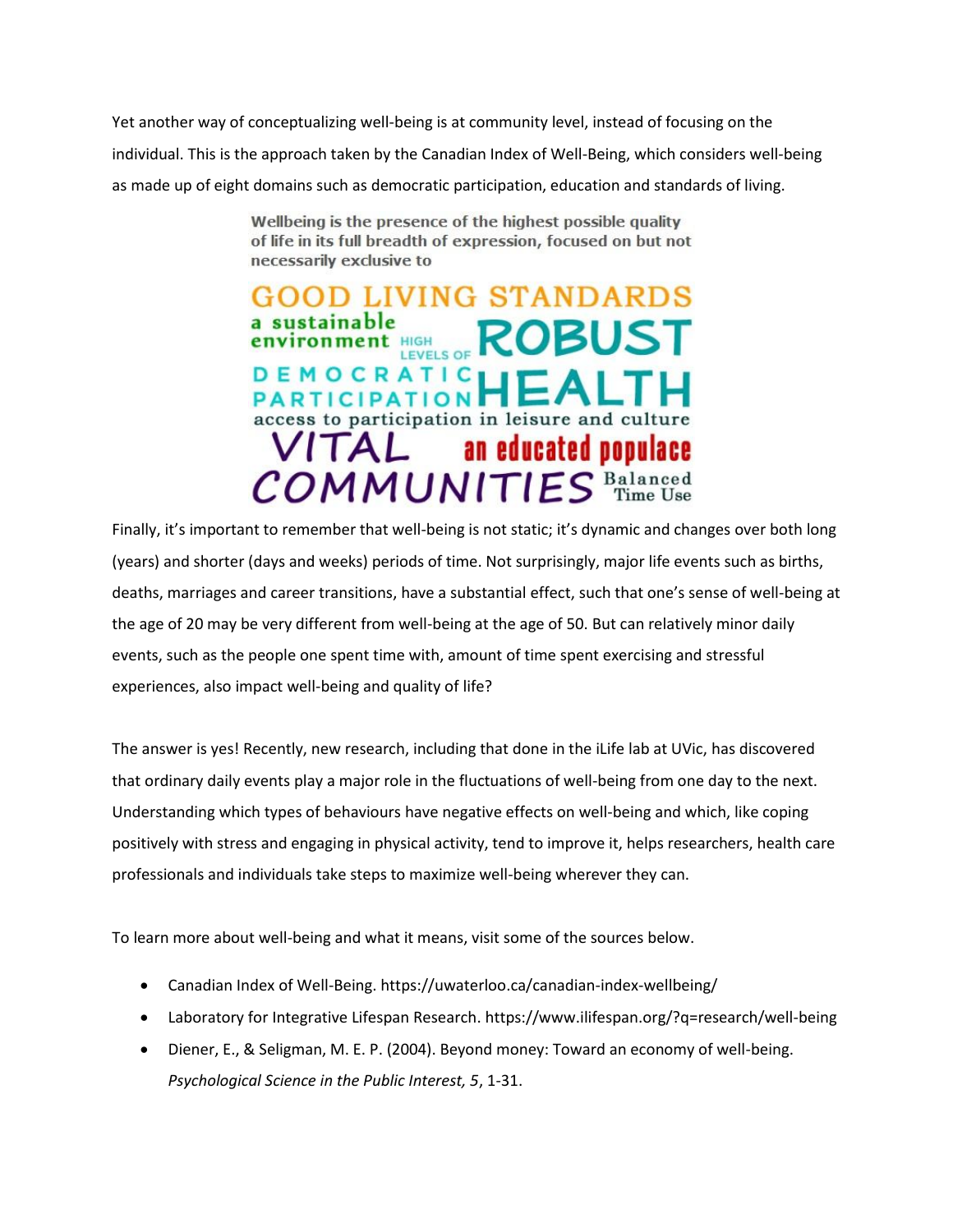Yet another way of conceptualizing well-being is at community level, instead of focusing on the individual. This is the approach taken by the Canadian Index of Well-Being, which considers well-being as made up of eight domains such as democratic participation, education and standards of living.

> Wellbeing is the presence of the highest possible quality of life in its full breadth of expression, focused on but not necessarily exclusive to

> OOD LIVING STANDARDS sustainable **ROBUST environment** HIGH **LEVELS OF** EMOCRATIC **PARTICIPATION** access to participation in leisure and culture VITAL an educated populace<br>COMMUNITIES  $\frac{\text{Balanced}}{\text{Time Use}}$

Finally, it's important to remember that well-being is not static; it's dynamic and changes over both long (years) and shorter (days and weeks) periods of time. Not surprisingly, major life events such as births, deaths, marriages and career transitions, have a substantial effect, such that one's sense of well-being at the age of 20 may be very different from well-being at the age of 50. But can relatively minor daily events, such as the people one spent time with, amount of time spent exercising and stressful experiences, also impact well-being and quality of life?

The answer is yes! Recently, new research, including that done in the iLife lab at UVic, has discovered that ordinary daily events play a major role in the fluctuations of well-being from one day to the next. Understanding which types of behaviours have negative effects on well-being and which, like coping positively with stress and engaging in physical activity, tend to improve it, helps researchers, health care professionals and individuals take steps to maximize well-being wherever they can.

To learn more about well-being and what it means, visit some of the sources below.

- Canadian Index of Well-Being. https://uwaterloo.ca/canadian-index-wellbeing/
- Laboratory for Integrative Lifespan Research. https://www.ilifespan.org/?q=research/well-being
- Diener, E., & Seligman, M. E. P. (2004). Beyond money: Toward an economy of well-being. *Psychological Science in the Public Interest, 5*, 1-31.